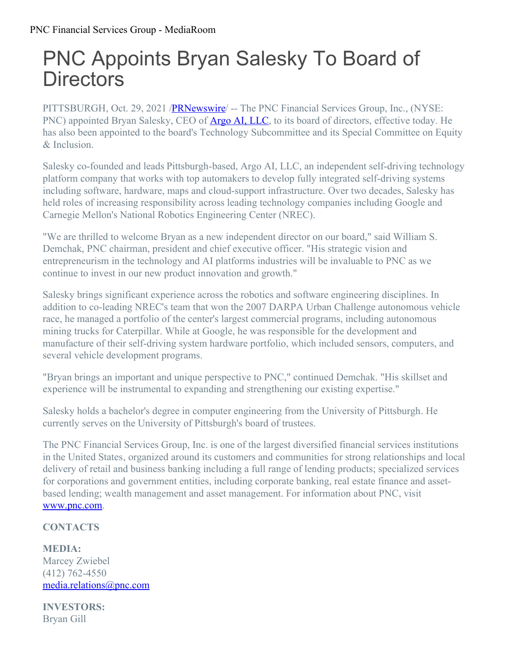## PNC Appoints Bryan Salesky To Board of **Directors**

PITTSBURGH, Oct. 29, 2021 /**PRNewswire** -- The PNC Financial Services Group, Inc., (NYSE: PNC) appointed Bryan Salesky, CEO of **[Argo](https://c212.net/c/link/?t=0&l=en&o=3340700-1&h=1522317417&u=https%3A%2F%2Fwww.argo.ai%2F&a=Argo+AI%2C+LLC) AI, LLC**, to its board of directors, effective today. He has also been appointed to the board's Technology Subcommittee and its Special Committee on Equity & Inclusion.

Salesky co-founded and leads Pittsburgh-based, Argo AI, LLC, an independent self-driving technology platform company that works with top automakers to develop fully integrated self-driving systems including software, hardware, maps and cloud-support infrastructure. Over two decades, Salesky has held roles of increasing responsibility across leading technology companies including Google and Carnegie Mellon's National Robotics Engineering Center (NREC).

"We are thrilled to welcome Bryan as a new independent director on our board," said William S. Demchak, PNC chairman, president and chief executive officer. "His strategic vision and entrepreneurism in the technology and AI platforms industries will be invaluable to PNC as we continue to invest in our new product innovation and growth."

Salesky brings significant experience across the robotics and software engineering disciplines. In addition to co-leading NREC's team that won the 2007 DARPA Urban Challenge autonomous vehicle race, he managed a portfolio of the center's largest commercial programs, including autonomous mining trucks for Caterpillar. While at Google, he was responsible for the development and manufacture of their self-driving system hardware portfolio, which included sensors, computers, and several vehicle development programs.

"Bryan brings an important and unique perspective to PNC," continued Demchak. "His skillset and experience will be instrumental to expanding and strengthening our existing expertise."

Salesky holds a bachelor's degree in computer engineering from the University of Pittsburgh. He currently serves on the University of Pittsburgh's board of trustees.

The PNC Financial Services Group, Inc. is one of the largest diversified financial services institutions in the United States, organized around its customers and communities for strong relationships and local delivery of retail and business banking including a full range of lending products; specialized services for corporations and government entities, including corporate banking, real estate finance and assetbased lending; wealth management and asset management. For information about PNC, visit [www.pnc.com](https://c212.net/c/link/?t=0&l=en&o=3340700-1&h=3786856659&u=http%3A%2F%2Fwww.pnc.com%2F&a=www.pnc.com).

## **CONTACTS**

**MEDIA:** Marcey Zwiebel (412) 762-4550 [media.relations@pnc.com](mailto:media.relations@pnc.com)

**INVESTORS:** Bryan Gill